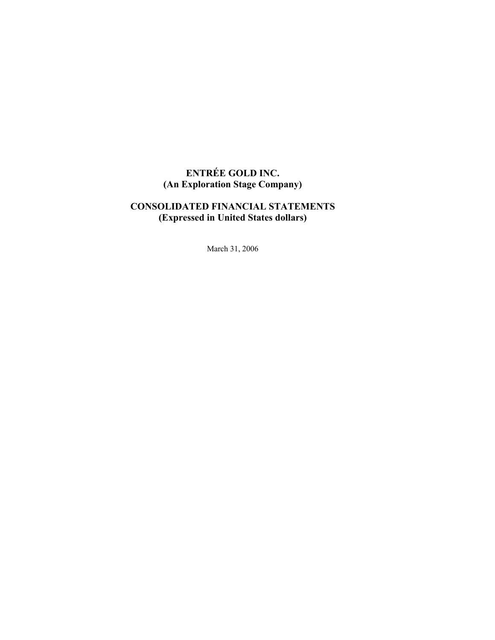# **ENTRÉE GOLD INC. (An Exploration Stage Company)**

# **CONSOLIDATED FINANCIAL STATEMENTS (Expressed in United States dollars)**

March 31, 2006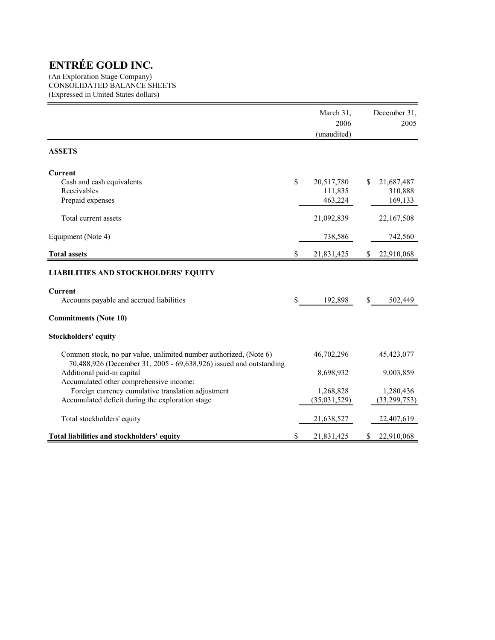(An Exploration Stage Company) CONSOLIDATED BALANCE SHEETS (Expressed in United States dollars)

|                                                                                                                                         |    | March 31,<br>2006<br>(unaudited) |     | December 31,<br>2005 |
|-----------------------------------------------------------------------------------------------------------------------------------------|----|----------------------------------|-----|----------------------|
| <b>ASSETS</b>                                                                                                                           |    |                                  |     |                      |
| <b>Current</b>                                                                                                                          |    |                                  |     |                      |
| Cash and cash equivalents                                                                                                               | \$ | 20,517,780                       | \$. | 21,687,487           |
| Receivables                                                                                                                             |    | 111,835                          |     | 310,888              |
| Prepaid expenses                                                                                                                        |    | 463,224                          |     | 169,133              |
| Total current assets                                                                                                                    |    | 21,092,839                       |     | 22,167,508           |
| Equipment (Note 4)                                                                                                                      |    | 738,586                          |     | 742,560              |
| <b>Total assets</b>                                                                                                                     | \$ | 21,831,425                       | S   | 22,910,068           |
| <b>LIABILITIES AND STOCKHOLDERS' EQUITY</b>                                                                                             |    |                                  |     |                      |
| <b>Current</b>                                                                                                                          |    |                                  |     |                      |
| Accounts payable and accrued liabilities                                                                                                | S  | 192,898                          | \$  | 502,449              |
| <b>Commitments (Note 10)</b>                                                                                                            |    |                                  |     |                      |
| Stockholders' equity                                                                                                                    |    |                                  |     |                      |
| Common stock, no par value, unlimited number authorized, (Note 6)<br>70,488,926 (December 31, 2005 - 69,638,926) issued and outstanding |    | 46,702,296                       |     | 45, 423, 077         |
| Additional paid-in capital                                                                                                              |    | 8,698,932                        |     | 9,003,859            |
| Accumulated other comprehensive income:                                                                                                 |    |                                  |     |                      |
| Foreign currency cumulative translation adjustment                                                                                      |    | 1,268,828                        |     | 1,280,436            |
| Accumulated deficit during the exploration stage                                                                                        |    | (35,031,529)                     |     | (33, 299, 753)       |
| Total stockholders' equity                                                                                                              |    | 21,638,527                       |     | 22,407,619           |
| Total liabilities and stockholders' equity                                                                                              | \$ | 21,831,425                       | \$  | 22,910,068           |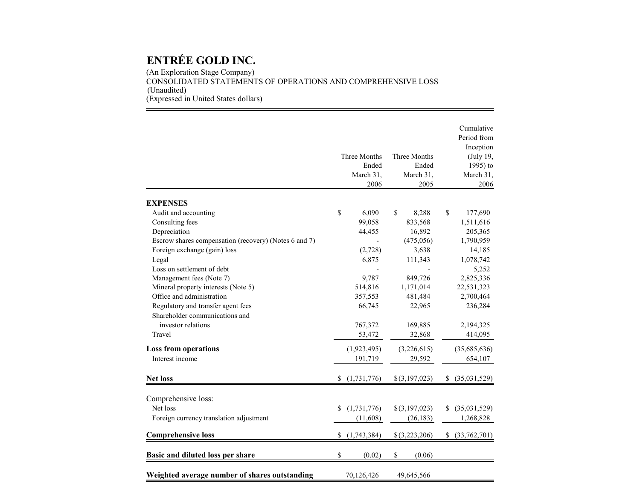(An Exploration Stage Company) CONSOLIDATED STATEMENTS OF OPERATIONS AND COMPREHENSIVE LOSS (Unaudited) (Expressed in United States dollars)

|                                                       |    | Three Months<br>Ended<br>March 31, |              | Three Months<br>Ended<br>March 31, |    | Cumulative<br>Period from<br>Inception<br>(July 19,<br>1995) to<br>March 31, |
|-------------------------------------------------------|----|------------------------------------|--------------|------------------------------------|----|------------------------------------------------------------------------------|
|                                                       |    | 2006                               |              | 2005                               |    | 2006                                                                         |
| <b>EXPENSES</b>                                       |    |                                    |              |                                    |    |                                                                              |
| Audit and accounting                                  | \$ | 6,090                              | $\mathbb{S}$ | 8,288                              | \$ | 177,690                                                                      |
| Consulting fees                                       |    | 99,058                             |              | 833,568                            |    | 1,511,616                                                                    |
| Depreciation                                          |    | 44,455                             |              | 16,892                             |    | 205,365                                                                      |
| Escrow shares compensation (recovery) (Notes 6 and 7) |    |                                    |              | (475, 056)                         |    | 1,790,959                                                                    |
| Foreign exchange (gain) loss                          |    | (2,728)                            |              | 3,638                              |    | 14,185                                                                       |
| Legal                                                 |    | 6,875                              |              | 111,343                            |    | 1,078,742                                                                    |
| Loss on settlement of debt                            |    |                                    |              |                                    |    | 5,252                                                                        |
| Management fees (Note 7)                              |    | 9,787                              |              | 849,726                            |    | 2,825,336                                                                    |
| Mineral property interests (Note 5)                   |    | 514,816                            |              | 1,171,014                          |    | 22,531,323                                                                   |
| Office and administration                             |    | 357,553                            |              | 481,484                            |    | 2,700,464                                                                    |
| Regulatory and transfer agent fees                    |    | 66,745                             |              | 22,965                             |    | 236,284                                                                      |
| Shareholder communications and                        |    |                                    |              |                                    |    |                                                                              |
| investor relations                                    |    | 767,372                            |              | 169,885                            |    | 2,194,325                                                                    |
| Travel                                                |    | 53,472                             |              | 32,868                             |    | 414,095                                                                      |
| <b>Loss from operations</b>                           |    | (1,923,495)                        |              | (3,226,615)                        |    | (35,685,636)                                                                 |
| Interest income                                       |    | 191,719                            |              | 29,592                             |    | 654,107                                                                      |
| <b>Net loss</b>                                       | \$ | (1,731,776)                        |              | \$(3,197,023)                      | S. | (35,031,529)                                                                 |
|                                                       |    |                                    |              |                                    |    |                                                                              |
| Comprehensive loss:                                   |    |                                    |              |                                    |    |                                                                              |
| Net loss                                              | \$ | (1,731,776)                        |              | \$(3,197,023)                      | \$ | (35,031,529)                                                                 |
| Foreign currency translation adjustment               |    | (11,608)                           |              | (26, 183)                          |    | 1,268,828                                                                    |
|                                                       |    |                                    |              |                                    |    |                                                                              |
| <b>Comprehensive loss</b>                             | S. | (1,743,384)                        |              | $$$ (3,223,206)                    | S. | (33,762,701)                                                                 |
| Basic and diluted loss per share                      | \$ | (0.02)                             | \$           | (0.06)                             |    |                                                                              |
| Weighted average number of shares outstanding         |    | 70,126,426                         |              | 49,645,566                         |    |                                                                              |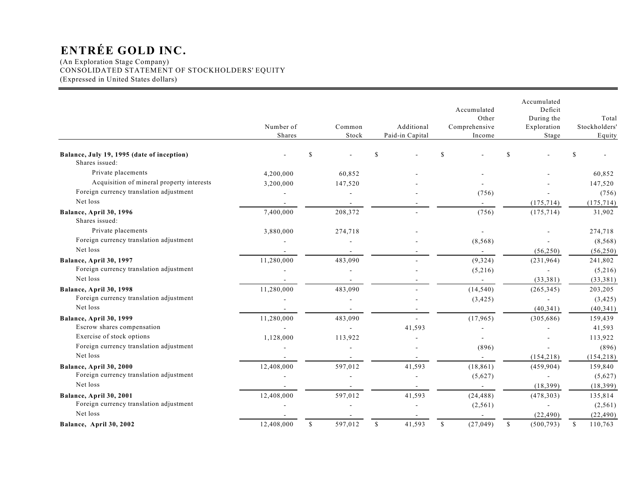(An Exploration Stage Company) CONSOLIDATED STATEMENT OF STOCKHOLDERS' EQUITY (Expressed in United States dollars)

|                                                              | Number of<br>Shares |               | Common<br>Stock | Additional<br>Paid-in Capital |              | Accumulated<br>Other<br>Comprehensive<br>Income |               | Accumulated<br>Deficit<br>During the<br>Exploration<br>Stage | Total<br>Stockholders'<br>Equity |
|--------------------------------------------------------------|---------------------|---------------|-----------------|-------------------------------|--------------|-------------------------------------------------|---------------|--------------------------------------------------------------|----------------------------------|
| Balance, July 19, 1995 (date of inception)<br>Shares issued: |                     | <sup>\$</sup> |                 | \$                            | S            |                                                 | \$            |                                                              |                                  |
| Private placements                                           | 4,200,000           |               | 60,852          |                               |              |                                                 |               |                                                              | 60,852                           |
| Acquisition of mineral property interests                    | 3,200,000           |               | 147,520         |                               |              |                                                 |               |                                                              | 147,520                          |
| Foreign currency translation adjustment                      |                     |               |                 |                               |              | (756)                                           |               |                                                              | (756)                            |
| Net loss                                                     |                     |               |                 |                               |              |                                                 |               | (175, 714)                                                   | (175, 714)                       |
| Balance, April 30, 1996<br>Shares issued:                    | 7,400,000           |               | 208,372         |                               |              | (756)                                           |               | (175, 714)                                                   | 31,902                           |
| Private placements                                           | 3,880,000           |               | 274,718         |                               |              |                                                 |               |                                                              | 274,718                          |
| Foreign currency translation adjustment                      |                     |               |                 |                               |              | (8, 568)                                        |               |                                                              | (8, 568)                         |
| Net loss                                                     |                     |               |                 |                               |              |                                                 |               | (56, 250)                                                    | (56, 250)                        |
| Balance, April 30, 1997                                      | 11,280,000          |               | 483,090         |                               |              | (9, 324)                                        |               | (231,964)                                                    | 241,802                          |
| Foreign currency translation adjustment                      |                     |               |                 |                               |              | (5,216)                                         |               |                                                              | (5,216)                          |
| Net loss                                                     |                     |               |                 |                               |              | $\sim$                                          |               | (33, 381)                                                    | (33, 381)                        |
| Balance, April 30, 1998                                      | 11,280,000          |               | 483,090         |                               |              | (14, 540)                                       |               | (265, 345)                                                   | 203,205                          |
| Foreign currency translation adjustment                      |                     |               |                 |                               |              | (3, 425)                                        |               |                                                              | (3, 425)                         |
| Net loss                                                     |                     |               |                 |                               |              |                                                 |               | (40, 341)                                                    | (40, 341)                        |
| Balance, April 30, 1999                                      | 11,280,000          |               | 483,090         |                               |              | (17, 965)                                       |               | (305, 686)                                                   | 159,439                          |
| Escrow shares compensation                                   |                     |               |                 | 41,593                        |              |                                                 |               |                                                              | 41,593                           |
| Exercise of stock options                                    | 1,128,000           |               | 113,922         |                               |              |                                                 |               |                                                              | 113,922                          |
| Foreign currency translation adjustment                      |                     |               |                 |                               |              | (896)                                           |               |                                                              | (896)                            |
| Net loss                                                     |                     |               |                 |                               |              |                                                 |               | (154, 218)                                                   | (154, 218)                       |
| Balance, April 30, 2000                                      | 12,408,000          |               | 597,012         | 41,593                        |              | (18, 861)                                       |               | (459, 904)                                                   | 159,840                          |
| Foreign currency translation adjustment                      |                     |               |                 |                               |              | (5,627)                                         |               |                                                              | (5,627)                          |
| Net loss                                                     |                     |               |                 |                               |              |                                                 |               | (18, 399)                                                    | (18, 399)                        |
| Balance, April 30, 2001                                      | 12,408,000          |               | 597,012         | 41,593                        |              | (24, 488)                                       |               | (478, 303)                                                   | 135,814                          |
| Foreign currency translation adjustment                      |                     |               |                 |                               |              | (2,561)                                         |               |                                                              | (2, 561)                         |
| Net loss                                                     |                     |               |                 |                               |              |                                                 |               | (22, 490)                                                    | (22, 490)                        |
| Balance, April 30, 2002                                      | 12,408,000          | $\mathbb{S}$  | 597,012         | \$<br>41,593                  | $\mathbb{S}$ | (27, 049)                                       | <sup>\$</sup> | (500, 793)                                                   | \$<br>110,763                    |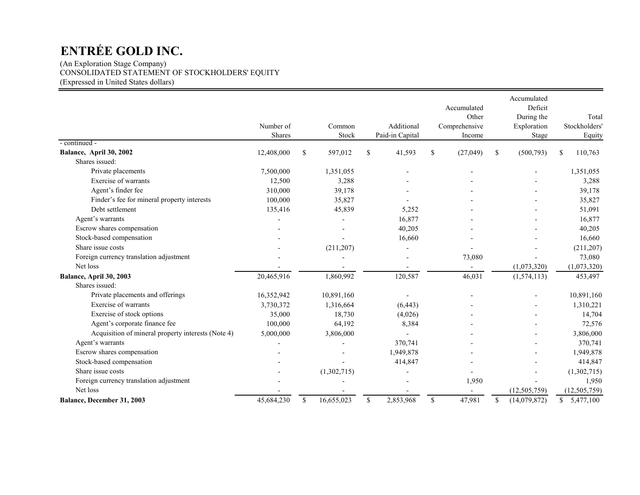(An Exploration Stage Company) CONSOLIDATED STATEMENT OF STOCKHOLDERS' EQUITY (Expressed in United States dollars)

|                                                    |               |               |             |             |                 |               | Accumulated<br>Other |               | Accumulated<br>Deficit<br>During the |    | Total          |
|----------------------------------------------------|---------------|---------------|-------------|-------------|-----------------|---------------|----------------------|---------------|--------------------------------------|----|----------------|
|                                                    | Number of     |               | Common      |             | Additional      |               | Comprehensive        |               | Exploration                          |    | Stockholders'  |
| - continued -                                      | <b>Shares</b> |               | Stock       |             | Paid-in Capital |               | Income               |               | Stage                                |    | Equity         |
| Balance, April 30, 2002                            | 12,408,000    | <sup>\$</sup> | 597,012     | \$          | 41,593          | <sup>\$</sup> | (27, 049)            | <sup>\$</sup> | (500, 793)                           | -S | 110,763        |
| Shares issued:                                     |               |               |             |             |                 |               |                      |               |                                      |    |                |
| Private placements                                 | 7,500,000     |               | 1,351,055   |             |                 |               |                      |               |                                      |    | 1,351,055      |
| Exercise of warrants                               | 12,500        |               | 3,288       |             |                 |               |                      |               |                                      |    | 3,288          |
| Agent's finder fee                                 | 310,000       |               | 39,178      |             |                 |               |                      |               |                                      |    | 39,178         |
| Finder's fee for mineral property interests        | 100,000       |               | 35,827      |             |                 |               |                      |               |                                      |    | 35,827         |
| Debt settlement                                    | 135,416       |               | 45,839      |             | 5,252           |               |                      |               |                                      |    | 51,091         |
| Agent's warrants                                   |               |               |             |             | 16,877          |               |                      |               |                                      |    | 16,877         |
| Escrow shares compensation                         |               |               |             |             | 40,205          |               |                      |               |                                      |    | 40,205         |
| Stock-based compensation                           |               |               |             |             | 16,660          |               |                      |               |                                      |    | 16,660         |
| Share issue costs                                  |               |               | (211, 207)  |             |                 |               |                      |               |                                      |    | (211, 207)     |
| Foreign currency translation adjustment            |               |               |             |             |                 |               | 73,080               |               |                                      |    | 73,080         |
| Net loss                                           |               |               |             |             |                 |               |                      |               | (1,073,320)                          |    | (1,073,320)    |
| Balance, April 30, 2003                            | 20,465,916    |               | 1,860,992   |             | 120,587         |               | 46,031               |               | (1,574,113)                          |    | 453,497        |
| Shares issued:                                     |               |               |             |             |                 |               |                      |               |                                      |    |                |
| Private placements and offerings                   | 16,352,942    |               | 10,891,160  |             |                 |               |                      |               |                                      |    | 10,891,160     |
| Exercise of warrants                               | 3,730,372     |               | 1,316,664   |             | (6, 443)        |               |                      |               |                                      |    | 1,310,221      |
| Exercise of stock options                          | 35,000        |               | 18,730      |             | (4,026)         |               |                      |               |                                      |    | 14,704         |
| Agent's corporate finance fee                      | 100,000       |               | 64,192      |             | 8,384           |               |                      |               |                                      |    | 72,576         |
| Acquisition of mineral property interests (Note 4) | 5,000,000     |               | 3,806,000   |             |                 |               |                      |               |                                      |    | 3,806,000      |
| Agent's warrants                                   |               |               |             |             | 370,741         |               |                      |               |                                      |    | 370,741        |
| Escrow shares compensation                         |               |               |             |             | 1,949,878       |               |                      |               |                                      |    | 1,949,878      |
| Stock-based compensation                           |               |               |             |             | 414,847         |               |                      |               |                                      |    | 414,847        |
| Share issue costs                                  |               |               | (1,302,715) |             |                 |               |                      |               |                                      |    | (1,302,715)    |
| Foreign currency translation adjustment            |               |               |             |             |                 |               | 1,950                |               |                                      |    | 1,950          |
| Net loss                                           |               |               |             |             |                 |               |                      |               | (12, 505, 759)                       |    | (12, 505, 759) |
| Balance, December 31, 2003                         | 45,684,230    | \$            | 16,655,023  | $\mathbf S$ | 2,853,968       | $\mathbb{S}$  | 47,981               | \$            | (14,079,872)                         |    | \$5,477,100    |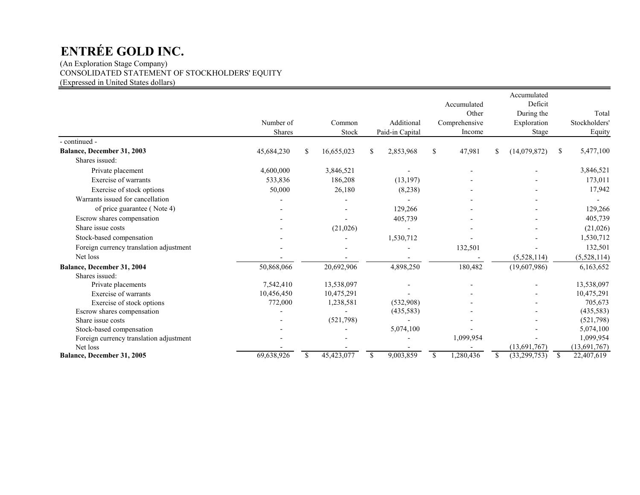(An Exploration Stage Company) CONSOLIDATED STATEMENT OF STOCKHOLDERS' EQUITY (Expressed in United States dollars)

|                                         |            |    |            |               |                 |               |               | Accumulated        |               |               |
|-----------------------------------------|------------|----|------------|---------------|-----------------|---------------|---------------|--------------------|---------------|---------------|
|                                         |            |    |            |               |                 |               | Accumulated   | Deficit            |               |               |
|                                         |            |    |            |               |                 |               | Other         | During the         |               | Total         |
|                                         | Number of  |    | Common     |               | Additional      |               | Comprehensive | Exploration        |               | Stockholders' |
|                                         | Shares     |    | Stock      |               | Paid-in Capital |               | Income        | Stage              |               | Equity        |
| - continued -                           |            |    |            |               |                 |               |               |                    |               |               |
| Balance, December 31, 2003              | 45,684,230 | \$ | 16,655,023 | \$            | 2,853,968       | S.            | 47,981        | \$<br>(14,079,872) | <sup>\$</sup> | 5,477,100     |
| Shares issued:                          |            |    |            |               |                 |               |               |                    |               |               |
| Private placement                       | 4,600,000  |    | 3,846,521  |               |                 |               |               |                    |               | 3,846,521     |
| Exercise of warrants                    | 533,836    |    | 186,208    |               | (13, 197)       |               |               |                    |               | 173,011       |
| Exercise of stock options               | 50,000     |    | 26,180     |               | (8,238)         |               |               |                    |               | 17,942        |
| Warrants issued for cancellation        |            |    |            |               |                 |               |               |                    |               |               |
| of price guarantee (Note 4)             |            |    |            |               | 129,266         |               |               |                    |               | 129,266       |
| Escrow shares compensation              |            |    |            |               | 405,739         |               |               |                    |               | 405,739       |
| Share issue costs                       |            |    | (21,026)   |               |                 |               |               |                    |               | (21,026)      |
| Stock-based compensation                |            |    |            |               | 1,530,712       |               |               |                    |               | 1,530,712     |
| Foreign currency translation adjustment |            |    |            |               |                 |               | 132,501       |                    |               | 132,501       |
| Net loss                                |            |    |            |               |                 |               |               | (5,528,114)        |               | (5,528,114)   |
| <b>Balance, December 31, 2004</b>       | 50,868,066 |    | 20,692,906 |               | 4,898,250       |               | 180,482       | (19,607,986)       |               | 6,163,652     |
| Shares issued:                          |            |    |            |               |                 |               |               |                    |               |               |
| Private placements                      | 7,542,410  |    | 13,538,097 |               |                 |               |               |                    |               | 13,538,097    |
| Exercise of warrants                    | 10,456,450 |    | 10,475,291 |               |                 |               |               |                    |               | 10,475,291    |
| Exercise of stock options               | 772,000    |    | 1,238,581  |               | (532,908)       |               |               |                    |               | 705,673       |
| Escrow shares compensation              |            |    |            |               | (435,583)       |               |               |                    |               | (435,583)     |
| Share issue costs                       |            |    | (521,798)  |               |                 |               |               |                    |               | (521,798)     |
| Stock-based compensation                |            |    |            |               | 5,074,100       |               |               |                    |               | 5,074,100     |
| Foreign currency translation adjustment |            |    |            |               |                 |               | 1,099,954     |                    |               | 1,099,954     |
| Net loss                                |            |    |            |               |                 |               |               | (13,691,767)       |               | (13,691,767)  |
| Balance, December 31, 2005              | 69,638,926 | S  | 45,423,077 | <sup>\$</sup> | 9,003,859       | <sup>\$</sup> | 1,280,436     | \$<br>(33,299,753) | <sup>S</sup>  | 22,407,619    |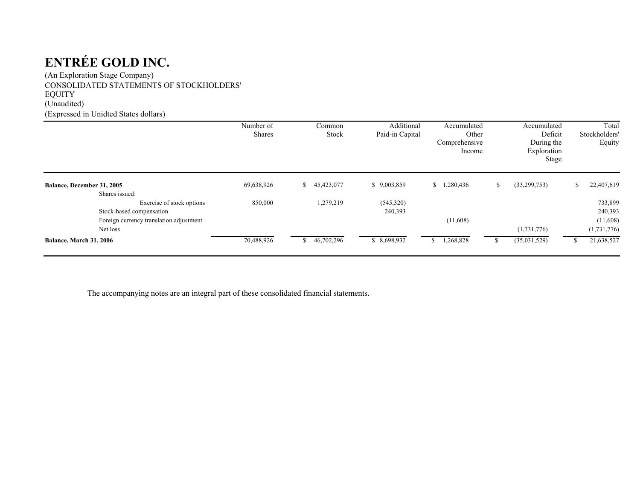(An Exploration Stage Company) CONSOLIDATED STATEMENTS OF STOCKHOLDERS' EQUITY (Unaudited) (Expressed in Unidted States dollars)

|                                             | Number of<br><b>Shares</b> | Common<br><b>Stock</b> | Additional<br>Paid-in Capital | Accumulated<br>Other<br>Comprehensive<br>Income | Accumulated<br>Deficit<br>During the<br>Exploration<br>Stage | Total<br>Stockholders'<br>Equity |
|---------------------------------------------|----------------------------|------------------------|-------------------------------|-------------------------------------------------|--------------------------------------------------------------|----------------------------------|
| Balance, December 31, 2005                  | 69,638,926                 | 45,423,077<br>S.       | \$9,003,859                   | \$1,280,436                                     | (33,299,753)<br>S.                                           | 22,407,619                       |
| Shares issued:<br>Exercise of stock options | 850,000                    | 1,279,219              | (545,320)                     |                                                 |                                                              | 733,899                          |
| Stock-based compensation                    |                            |                        | 240,393                       |                                                 |                                                              | 240,393                          |
| Foreign currency translation adjustment     |                            |                        |                               | (11,608)                                        |                                                              | (11,608)                         |
| Net loss                                    |                            |                        |                               |                                                 | (1,731,776)                                                  | (1,731,776)                      |
| Balance, March 31, 2006                     | 70,488,926                 | 46,702,296             | \$8,698,932                   | 1,268,828                                       | (35,031,529)                                                 | 21,638,527                       |

The accompanying notes are an integral part of these consolidated financial statements.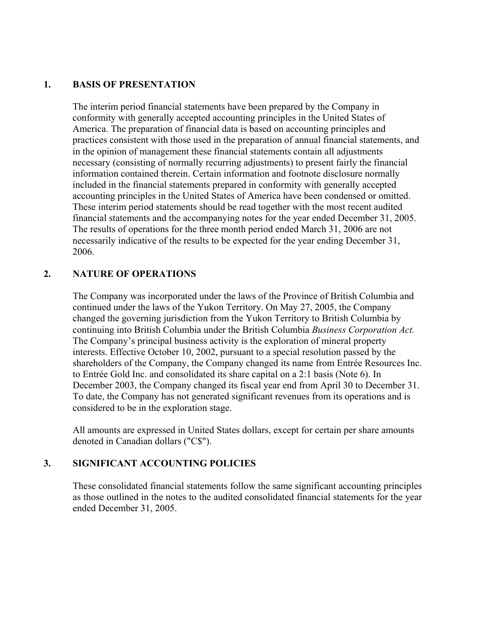## **1. BASIS OF PRESENTATION**

The interim period financial statements have been prepared by the Company in conformity with generally accepted accounting principles in the United States of America. The preparation of financial data is based on accounting principles and practices consistent with those used in the preparation of annual financial statements, and in the opinion of management these financial statements contain all adjustments necessary (consisting of normally recurring adjustments) to present fairly the financial information contained therein. Certain information and footnote disclosure normally included in the financial statements prepared in conformity with generally accepted accounting principles in the United States of America have been condensed or omitted. These interim period statements should be read together with the most recent audited financial statements and the accompanying notes for the year ended December 31, 2005. The results of operations for the three month period ended March 31, 2006 are not necessarily indicative of the results to be expected for the year ending December 31, 2006.

# **2. NATURE OF OPERATIONS**

The Company was incorporated under the laws of the Province of British Columbia and continued under the laws of the Yukon Territory. On May 27, 2005, the Company changed the governing jurisdiction from the Yukon Territory to British Columbia by continuing into British Columbia under the British Columbia *Business Corporation Act.* The Company's principal business activity is the exploration of mineral property interests. Effective October 10, 2002, pursuant to a special resolution passed by the shareholders of the Company, the Company changed its name from Entrée Resources Inc. to Entrée Gold Inc. and consolidated its share capital on a 2:1 basis (Note 6). In December 2003, the Company changed its fiscal year end from April 30 to December 31. To date, the Company has not generated significant revenues from its operations and is considered to be in the exploration stage.

All amounts are expressed in United States dollars, except for certain per share amounts denoted in Canadian dollars ("C\$").

# **3. SIGNIFICANT ACCOUNTING POLICIES**

These consolidated financial statements follow the same significant accounting principles as those outlined in the notes to the audited consolidated financial statements for the year ended December 31, 2005.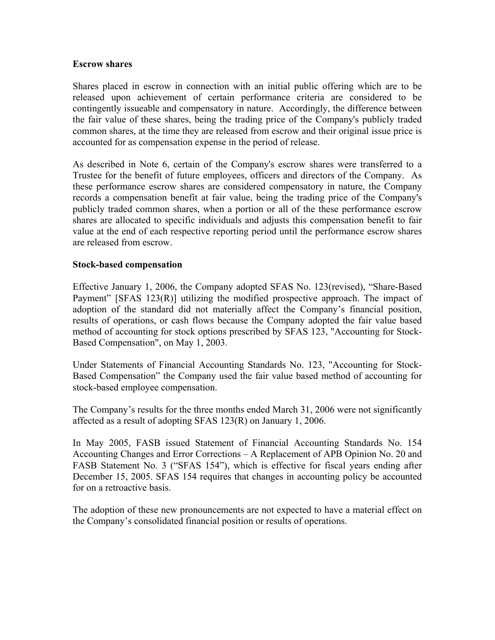### **Escrow shares**

Shares placed in escrow in connection with an initial public offering which are to be released upon achievement of certain performance criteria are considered to be contingently issueable and compensatory in nature. Accordingly, the difference between the fair value of these shares, being the trading price of the Company's publicly traded common shares, at the time they are released from escrow and their original issue price is accounted for as compensation expense in the period of release.

As described in Note 6, certain of the Company's escrow shares were transferred to a Trustee for the benefit of future employees, officers and directors of the Company. As these performance escrow shares are considered compensatory in nature, the Company records a compensation benefit at fair value, being the trading price of the Company's publicly traded common shares, when a portion or all of the these performance escrow shares are allocated to specific individuals and adjusts this compensation benefit to fair value at the end of each respective reporting period until the performance escrow shares are released from escrow.

## **Stock-based compensation**

Effective January 1, 2006, the Company adopted SFAS No. 123(revised), "Share-Based Payment" [SFAS 123(R)] utilizing the modified prospective approach. The impact of adoption of the standard did not materially affect the Company's financial position, results of operations, or cash flows because the Company adopted the fair value based method of accounting for stock options prescribed by SFAS 123, "Accounting for Stock-Based Compensation", on May 1, 2003.

Under Statements of Financial Accounting Standards No. 123, "Accounting for Stock-Based Compensation" the Company used the fair value based method of accounting for stock-based employee compensation.

The Company's results for the three months ended March 31, 2006 were not significantly affected as a result of adopting SFAS 123(R) on January 1, 2006.

In May 2005, FASB issued Statement of Financial Accounting Standards No. 154 Accounting Changes and Error Corrections – A Replacement of APB Opinion No. 20 and FASB Statement No. 3 ("SFAS 154"), which is effective for fiscal years ending after December 15, 2005. SFAS 154 requires that changes in accounting policy be accounted for on a retroactive basis.

The adoption of these new pronouncements are not expected to have a material effect on the Company's consolidated financial position or results of operations.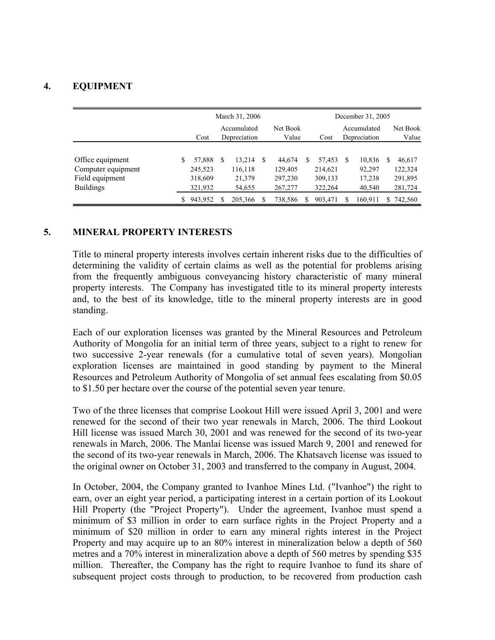# **4. EQUIPMENT**

|                                                                               | March 31, 2006 |                                         |                             |                                       |                   |                                         |      |                                         |    | December 31, 2005                    |                                         |
|-------------------------------------------------------------------------------|----------------|-----------------------------------------|-----------------------------|---------------------------------------|-------------------|-----------------------------------------|------|-----------------------------------------|----|--------------------------------------|-----------------------------------------|
|                                                                               |                | Cost                                    | Accumulated<br>Depreciation |                                       | Net Book<br>Value |                                         | Cost | Accumulated<br>Depreciation             |    | Net Book<br>Value                    |                                         |
| Office equipment<br>Computer equipment<br>Field equipment<br><b>Buildings</b> | \$             | 57,888<br>245,523<br>318,609<br>321,932 | S                           | 13,214<br>116,118<br>21,379<br>54,655 | - S               | 44,674<br>129,405<br>297,230<br>267,277 | S    | 57,453<br>214,621<br>309,133<br>322,264 | -S | 10,836<br>92,297<br>17,238<br>40,540 | 46,617<br>122,324<br>291,895<br>281,724 |
|                                                                               |                | 943,952                                 | S                           | 205,366                               |                   | 738,586                                 | S    | 903,471                                 |    | 160,911                              | 742,560                                 |

#### **5. MINERAL PROPERTY INTERESTS**

Title to mineral property interests involves certain inherent risks due to the difficulties of determining the validity of certain claims as well as the potential for problems arising from the frequently ambiguous conveyancing history characteristic of many mineral property interests. The Company has investigated title to its mineral property interests and, to the best of its knowledge, title to the mineral property interests are in good standing.

Each of our exploration licenses was granted by the Mineral Resources and Petroleum Authority of Mongolia for an initial term of three years, subject to a right to renew for two successive 2-year renewals (for a cumulative total of seven years). Mongolian exploration licenses are maintained in good standing by payment to the Mineral Resources and Petroleum Authority of Mongolia of set annual fees escalating from \$0.05 to \$1.50 per hectare over the course of the potential seven year tenure.

Two of the three licenses that comprise Lookout Hill were issued April 3, 2001 and were renewed for the second of their two year renewals in March, 2006. The third Lookout Hill license was issued March 30, 2001 and was renewed for the second of its two-year renewals in March, 2006. The Manlai license was issued March 9, 2001 and renewed for the second of its two-year renewals in March, 2006. The Khatsavch license was issued to the original owner on October 31, 2003 and transferred to the company in August, 2004.

In October, 2004, the Company granted to Ivanhoe Mines Ltd. ("Ivanhoe") the right to earn, over an eight year period, a participating interest in a certain portion of its Lookout Hill Property (the "Project Property"). Under the agreement, Ivanhoe must spend a minimum of \$3 million in order to earn surface rights in the Project Property and a minimum of \$20 million in order to earn any mineral rights interest in the Project Property and may acquire up to an 80% interest in mineralization below a depth of 560 metres and a 70% interest in mineralization above a depth of 560 metres by spending \$35 million. Thereafter, the Company has the right to require Ivanhoe to fund its share of subsequent project costs through to production, to be recovered from production cash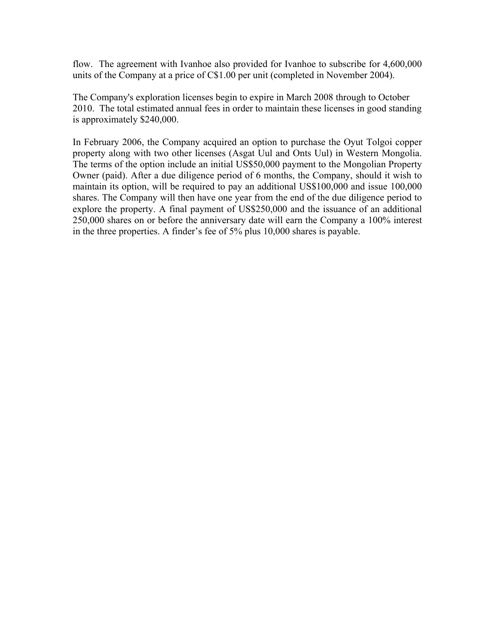flow. The agreement with Ivanhoe also provided for Ivanhoe to subscribe for 4,600,000 units of the Company at a price of C\$1.00 per unit (completed in November 2004).

The Company's exploration licenses begin to expire in March 2008 through to October 2010. The total estimated annual fees in order to maintain these licenses in good standing is approximately \$240,000.

In February 2006, the Company acquired an option to purchase the Oyut Tolgoi copper property along with two other licenses (Asgat Uul and Onts Uul) in Western Mongolia. The terms of the option include an initial US\$50,000 payment to the Mongolian Property Owner (paid). After a due diligence period of 6 months, the Company, should it wish to maintain its option, will be required to pay an additional US\$100,000 and issue 100,000 shares. The Company will then have one year from the end of the due diligence period to explore the property. A final payment of US\$250,000 and the issuance of an additional 250,000 shares on or before the anniversary date will earn the Company a 100% interest in the three properties. A finder's fee of 5% plus 10,000 shares is payable.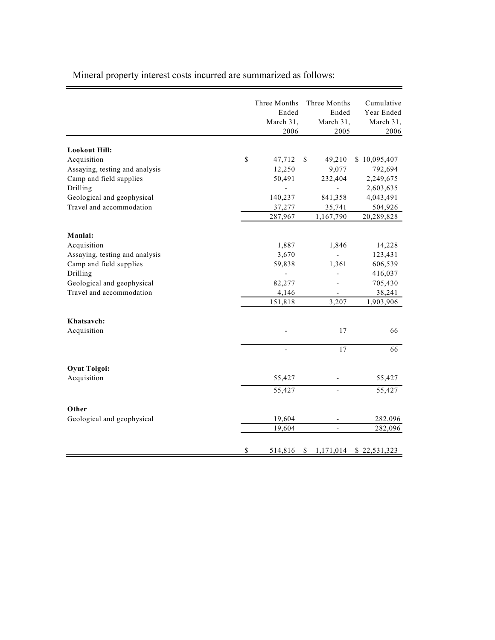Mineral property interest costs incurred are summarized as follows:

Ë.

|                                        |              | Three Months<br>Ended<br>March 31, | Three Months<br>Ended<br>March 31, | Cumulative<br>Year Ended<br>March 31, |
|----------------------------------------|--------------|------------------------------------|------------------------------------|---------------------------------------|
|                                        |              | 2006                               | 2005                               | 2006                                  |
| <b>Lookout Hill:</b>                   |              |                                    |                                    |                                       |
| Acquisition                            | \$           | 47,712                             | \$<br>49,210                       | \$10,095,407                          |
| Assaying, testing and analysis         |              | 12,250                             | 9,077                              | 792,694                               |
| Camp and field supplies                |              | 50,491                             | 232,404                            | 2,249,675                             |
| Drilling                               |              |                                    | $\overline{a}$                     | 2,603,635                             |
| Geological and geophysical             |              | 140,237                            | 841,358                            | 4,043,491                             |
| Travel and accommodation               |              | 37,277                             | 35,741                             | 504,926                               |
|                                        |              | 287,967                            | 1,167,790                          | 20,289,828                            |
|                                        |              |                                    |                                    |                                       |
| Manlai:                                |              |                                    |                                    |                                       |
| Acquisition                            |              | 1,887                              | 1,846                              | 14,228                                |
| Assaying, testing and analysis         |              | 3,670                              |                                    | 123,431                               |
| Camp and field supplies                |              | 59,838                             | 1,361                              | 606,539                               |
| Drilling<br>Geological and geophysical |              |                                    |                                    | 416,037                               |
| Travel and accommodation               |              | 82,277                             |                                    | 705,430                               |
|                                        |              | 4,146<br>151,818                   | 3,207                              | 38,241<br>1,903,906                   |
|                                        |              |                                    |                                    |                                       |
| Khatsavch:                             |              |                                    |                                    |                                       |
| Acquisition                            |              |                                    | 17                                 | 66                                    |
|                                        |              |                                    | 17                                 | 66                                    |
|                                        |              |                                    |                                    |                                       |
| <b>Oyut Tolgoi:</b>                    |              |                                    |                                    |                                       |
| Acquisition                            |              | 55,427                             |                                    | 55,427                                |
|                                        |              | 55,427                             | $\overline{\phantom{0}}$           | 55,427                                |
| Other                                  |              |                                    |                                    |                                       |
| Geological and geophysical             |              | 19,604                             | -                                  | 282,096                               |
|                                        |              | 19,604                             | $\overline{\phantom{0}}$           | 282,096                               |
|                                        | $\mathbb{S}$ | 514,816                            | \$<br>1,171,014                    | \$22,531,323                          |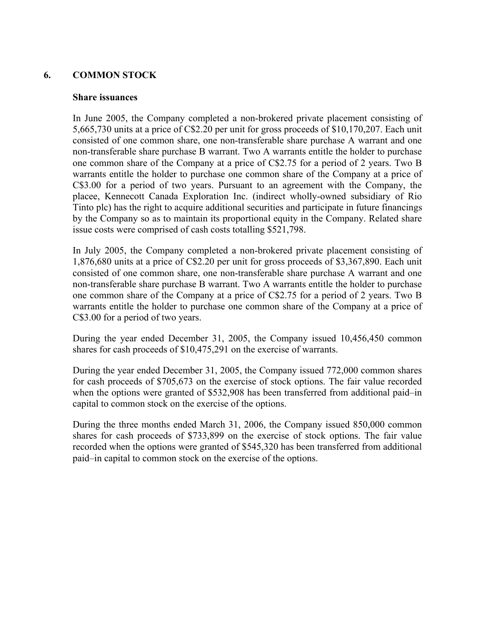# **6. COMMON STOCK**

#### **Share issuances**

In June 2005, the Company completed a non-brokered private placement consisting of 5,665,730 units at a price of C\$2.20 per unit for gross proceeds of \$10,170,207. Each unit consisted of one common share, one non-transferable share purchase A warrant and one non-transferable share purchase B warrant. Two A warrants entitle the holder to purchase one common share of the Company at a price of C\$2.75 for a period of 2 years. Two B warrants entitle the holder to purchase one common share of the Company at a price of C\$3.00 for a period of two years. Pursuant to an agreement with the Company, the placee, Kennecott Canada Exploration Inc. (indirect wholly-owned subsidiary of Rio Tinto plc) has the right to acquire additional securities and participate in future financings by the Company so as to maintain its proportional equity in the Company. Related share issue costs were comprised of cash costs totalling \$521,798.

In July 2005, the Company completed a non-brokered private placement consisting of 1,876,680 units at a price of C\$2.20 per unit for gross proceeds of \$3,367,890. Each unit consisted of one common share, one non-transferable share purchase A warrant and one non-transferable share purchase B warrant. Two A warrants entitle the holder to purchase one common share of the Company at a price of C\$2.75 for a period of 2 years. Two B warrants entitle the holder to purchase one common share of the Company at a price of C\$3.00 for a period of two years.

During the year ended December 31, 2005, the Company issued 10,456,450 common shares for cash proceeds of \$10,475,291 on the exercise of warrants.

During the year ended December 31, 2005, the Company issued 772,000 common shares for cash proceeds of \$705,673 on the exercise of stock options. The fair value recorded when the options were granted of \$532,908 has been transferred from additional paid–in capital to common stock on the exercise of the options.

During the three months ended March 31, 2006, the Company issued 850,000 common shares for cash proceeds of \$733,899 on the exercise of stock options. The fair value recorded when the options were granted of \$545,320 has been transferred from additional paid–in capital to common stock on the exercise of the options.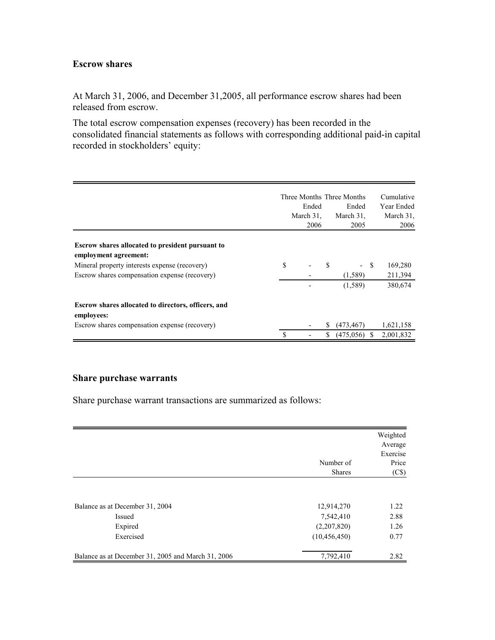# **Escrow shares**

At March 31, 2006, and December 31,2005, all performance escrow shares had been released from escrow.

The total escrow compensation expenses (recovery) has been recorded in the consolidated financial statements as follows with corresponding additional paid-in capital recorded in stockholders' equity:

|                                                                        |    | Ended<br>March 31.<br>2006 |    | Three Months Three Months<br>Ended<br>March 31,<br>2005 |    | Cumulative<br>Year Ended<br>March 31,<br>2006 |
|------------------------------------------------------------------------|----|----------------------------|----|---------------------------------------------------------|----|-----------------------------------------------|
| <b>Escrow shares allocated to president pursuant to</b>                |    |                            |    |                                                         |    |                                               |
| employment agreement:<br>Mineral property interests expense (recovery) | \$ | $\overline{\phantom{a}}$   | \$ | - \$                                                    |    | 169,280                                       |
| Escrow shares compensation expense (recovery)                          |    |                            |    | (1,589)                                                 |    | 211,394                                       |
|                                                                        |    |                            |    | (1,589)                                                 |    | 380,674                                       |
| Escrow shares allocated to directors, officers, and<br>employees:      |    |                            |    |                                                         |    |                                               |
| Escrow shares compensation expense (recovery)                          |    |                            | S. | (473, 467)                                              |    | 1,621,158                                     |
|                                                                        | S  |                            | \$ | (475,056)                                               | S. | 2,001,832                                     |

### **Share purchase warrants**

Share purchase warrant transactions are summarized as follows:

|                                                    | Number of<br><b>Shares</b> | Weighted<br>Average<br>Exercise<br>Price<br>(C\$) |
|----------------------------------------------------|----------------------------|---------------------------------------------------|
| Balance as at December 31, 2004                    | 12,914,270                 | 1.22                                              |
| Issued                                             | 7,542,410                  | 2.88                                              |
| Expired                                            | (2,207,820)                | 1.26                                              |
| Exercised                                          | (10, 456, 450)             | 0.77                                              |
| Balance as at December 31, 2005 and March 31, 2006 | 7,792,410                  | 2.82                                              |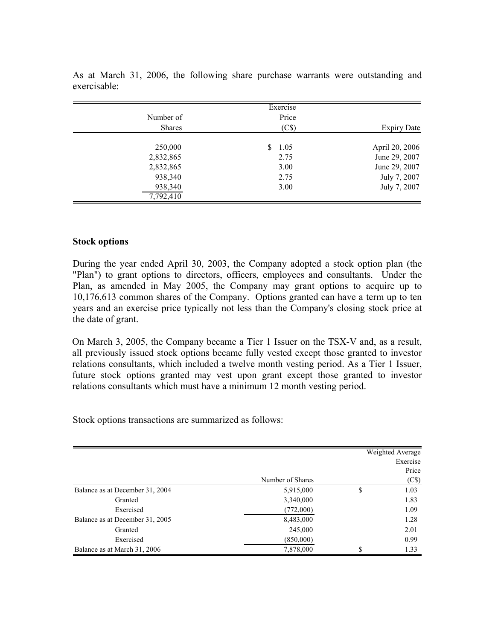|               | Exercise   |                    |
|---------------|------------|--------------------|
| Number of     | Price      |                    |
| <b>Shares</b> | (C\$)      | <b>Expiry Date</b> |
|               |            |                    |
| 250,000       | 1.05<br>S. | April 20, 2006     |
| 2,832,865     | 2.75       | June 29, 2007      |
| 2,832,865     | 3.00       | June 29, 2007      |
| 938,340       | 2.75       | July 7, 2007       |
| 938,340       | 3.00       | July 7, 2007       |
| 7,792,410     |            |                    |

As at March 31, 2006, the following share purchase warrants were outstanding and exercisable:

#### **Stock options**

During the year ended April 30, 2003, the Company adopted a stock option plan (the "Plan") to grant options to directors, officers, employees and consultants. Under the Plan, as amended in May 2005, the Company may grant options to acquire up to 10,176,613 common shares of the Company. Options granted can have a term up to ten years and an exercise price typically not less than the Company's closing stock price at the date of grant.

On March 3, 2005, the Company became a Tier 1 Issuer on the TSX-V and, as a result, all previously issued stock options became fully vested except those granted to investor relations consultants, which included a twelve month vesting period. As a Tier 1 Issuer, future stock options granted may vest upon grant except those granted to investor relations consultants which must have a minimum 12 month vesting period.

Stock options transactions are summarized as follows:

|                                 |                  |    | Weighted Average<br>Exercise |
|---------------------------------|------------------|----|------------------------------|
|                                 | Number of Shares |    | Price<br>(C\$)               |
| Balance as at December 31, 2004 | 5,915,000        | \$ | 1.03                         |
| Granted                         | 3,340,000        |    | 1.83                         |
| Exercised                       | (772,000)        |    | 1.09                         |
| Balance as at December 31, 2005 | 8,483,000        |    | 1.28                         |
| Granted                         | 245,000          |    | 2.01                         |
| Exercised                       | (850,000)        |    | 0.99                         |
| Balance as at March 31, 2006    | 7,878,000        | J  | 1.33                         |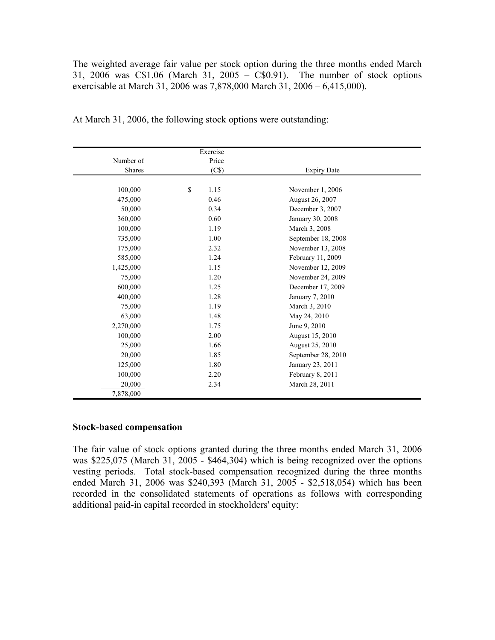The weighted average fair value per stock option during the three months ended March 31, 2006 was C\$1.06 (March 31, 2005 – C\$0.91). The number of stock options exercisable at March 31, 2006 was 7,878,000 March 31, 2006 – 6,415,000).

|           | Exercise   |                    |  |
|-----------|------------|--------------------|--|
| Number of | Price      |                    |  |
| Shares    | (C\$)      | <b>Expiry Date</b> |  |
|           |            |                    |  |
| 100,000   | \$<br>1.15 | November 1, 2006   |  |
| 475,000   | 0.46       | August 26, 2007    |  |
| 50,000    | 0.34       | December 3, 2007   |  |
| 360,000   | 0.60       | January 30, 2008   |  |
| 100,000   | 1.19       | March 3, 2008      |  |
| 735,000   | 1.00       | September 18, 2008 |  |
| 175,000   | 2.32       | November 13, 2008  |  |
| 585,000   | 1.24       | February 11, 2009  |  |
| 1,425,000 | 1.15       | November 12, 2009  |  |
| 75,000    | 1.20       | November 24, 2009  |  |
| 600,000   | 1.25       | December 17, 2009  |  |
| 400,000   | 1.28       | January 7, 2010    |  |
| 75,000    | 1.19       | March 3, 2010      |  |
| 63,000    | 1.48       | May 24, 2010       |  |
| 2,270,000 | 1.75       | June 9, 2010       |  |
| 100,000   | 2.00       | August 15, 2010    |  |
| 25,000    | 1.66       | August 25, 2010    |  |
| 20,000    | 1.85       | September 28, 2010 |  |
| 125,000   | 1.80       | January 23, 2011   |  |
| 100,000   | 2.20       | February 8, 2011   |  |
| 20,000    | 2.34       | March 28, 2011     |  |
| 7,878,000 |            |                    |  |

At March 31, 2006, the following stock options were outstanding:

## **Stock-based compensation**

The fair value of stock options granted during the three months ended March 31, 2006 was \$225,075 (March 31, 2005 - \$464,304) which is being recognized over the options vesting periods. Total stock-based compensation recognized during the three months ended March 31, 2006 was \$240,393 (March 31, 2005 - \$2,518,054) which has been recorded in the consolidated statements of operations as follows with corresponding additional paid-in capital recorded in stockholders' equity: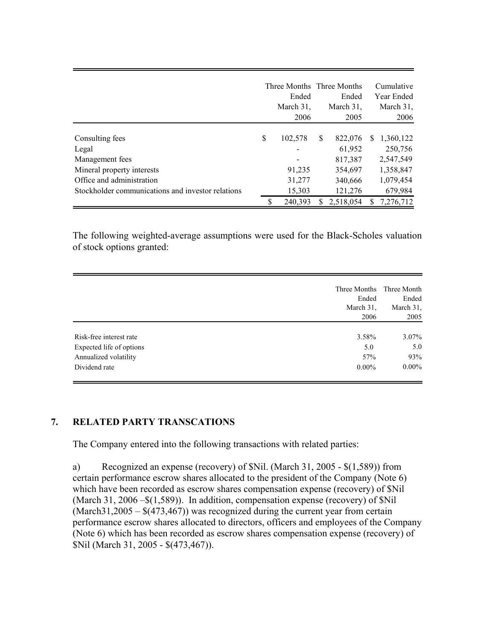|                                                   | Three Months Three Months<br>Ended<br>March 31,<br>2006 |    | Ended<br>March 31,<br>2005 |    | Cumulative<br>Year Ended<br>March 31,<br>2006 |
|---------------------------------------------------|---------------------------------------------------------|----|----------------------------|----|-----------------------------------------------|
| Consulting fees                                   | \$<br>102,578                                           | \$ | 822,076                    | -S | 1,360,122                                     |
| Legal                                             |                                                         |    | 61,952                     |    | 250,756                                       |
| Management fees                                   |                                                         |    | 817,387                    |    | 2,547,549                                     |
| Mineral property interests                        | 91,235                                                  |    | 354,697                    |    | 1,358,847                                     |
| Office and administration                         | 31,277                                                  |    | 340,666                    |    | 1,079,454                                     |
| Stockholder communications and investor relations | 15,303                                                  |    | 121,276                    |    | 679,984                                       |
|                                                   | 240.393                                                 | S  | 2,518,054                  | S  | 7,276,712                                     |

The following weighted-average assumptions were used for the Black-Scholes valuation of stock options granted:

|                          | Three Months | Three Month |
|--------------------------|--------------|-------------|
|                          | Ended        | Ended       |
|                          | March 31.    | March 31,   |
|                          | 2006         | 2005        |
|                          |              |             |
| Risk-free interest rate  | 3.58%        | $3.07\%$    |
| Expected life of options | 5.0          | 5.0         |
| Annualized volatility    | 57%          | 93%         |
| Dividend rate            | $0.00\%$     | $0.00\%$    |

# **7. RELATED PARTY TRANSCATIONS**

The Company entered into the following transactions with related parties:

a) Recognized an expense (recovery) of \$Nil. (March 31, 2005 - \$(1,589)) from certain performance escrow shares allocated to the president of the Company (Note 6) which have been recorded as escrow shares compensation expense (recovery) of \$Nil (March 31, 2006 –\$(1,589)). In addition, compensation expense (recovery) of \$Nil  $(March31,2005 - $(473,467))$  was recognized during the current year from certain performance escrow shares allocated to directors, officers and employees of the Company (Note 6) which has been recorded as escrow shares compensation expense (recovery) of \$Nil (March 31, 2005 - \$(473,467)).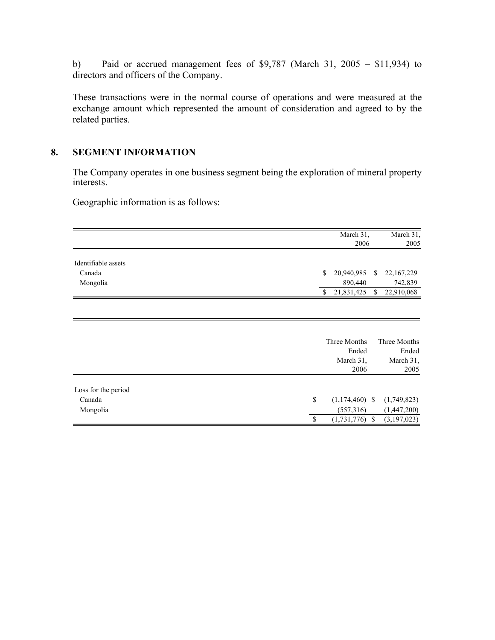b) Paid or accrued management fees of \$9,787 (March 31, 2005 – \$11,934) to directors and officers of the Company.

These transactions were in the normal course of operations and were measured at the exchange amount which represented the amount of consideration and agreed to by the related parties.

# **8. SEGMENT INFORMATION**

The Company operates in one business segment being the exploration of mineral property interests.

Geographic information is as follows:

|                     |               | March 31,        |               | March $31$ ,  |
|---------------------|---------------|------------------|---------------|---------------|
|                     |               | 2006             |               | 2005          |
|                     |               |                  |               |               |
| Identifiable assets |               |                  |               |               |
| Canada              | <sup>\$</sup> | 20,940,985       | S.            | 22,167,229    |
| Mongolia            |               | 890,440          |               | 742,839       |
|                     | \$            | 21,831,425       | \$            | 22,910,068    |
|                     |               |                  |               |               |
|                     |               |                  |               |               |
|                     |               |                  |               |               |
|                     |               |                  |               |               |
|                     |               | Three Months     |               | Three Months  |
|                     |               | Ended            |               | Ended         |
|                     |               | March 31,        |               | March 31,     |
|                     |               | 2006             |               | 2005          |
|                     |               |                  |               |               |
| Loss for the period |               |                  |               |               |
| Canada              | \$            | $(1,174,460)$ \$ |               | (1,749,823)   |
| Mongolia            |               | (557,316)        |               | (1,447,200)   |
|                     | \$            | (1, 731, 776)    | <sup>\$</sup> | (3, 197, 023) |